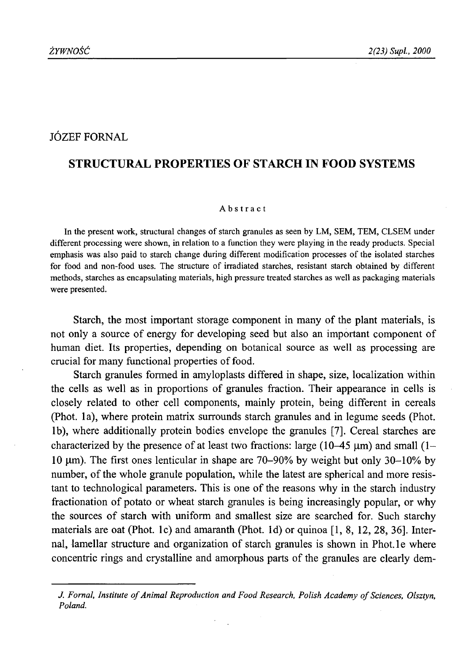# JÓZEF FORNAL

# **STRUCTURAL PROPERTIES OF STARCH IN FOOD SYSTEMS**

#### Abstract

In the present work, structural changes of starch granules as seen by LM, SEM, TEM, CLSEM under different processing were shown, in relation to a function they were playing in the ready products. Special emphasis was also paid to starch change during different modification processes of the isolated starches for food and non-food uses. The structure of irradiated starches, resistant starch obtained by different methods, starches as encapsulating materials, high pressure treated starches as well as packaging materials were presented.

Starch, the most important storage component in many of the plant materials, is not only a source of energy for developing seed but also an important component of human diet. Its properties, depending on botanical source as well as processing are crucial for many functional properties of food.

Starch granules formed in amyloplasts differed in shape, size, localization within the cells as well as in proportions of granules fraction. Their appearance in cells is closely related to other cell components, mainly protein, being different in cereals (Phot, la), where protein matrix surrounds starch granules and in legume seeds (Phot, lb), where additionally protein bodies envelope the granules [7]. Cereal starches are characterized by the presence of at least two fractions: large  $(10-45 \text{ }\mu\text{m})$  and small  $(1-\text{ }\mu\text{m})$ 10 um). The first ones lenticular in shape are  $70-90\%$  by weight but only  $30-10\%$  by number, of the whole granule population, while the latest are spherical and more resistant to technological parameters. This is one of the reasons why in the starch industry fractionation of potato or wheat starch granules is being increasingly popular, or why the sources of starch with uniform and smallest size are searched for. Such starchy materials are oat (Phot, lc) and amaranth (Phot. Id) or quinoa [1,8, 12, 28, 36]. Internal, lamellar structure and organization of starch granules is shown in Phot.le where concentric rings and crystalline and amorphous parts of the granules are clearly dem-

*J. Fornal, Institute of Animal Reproduction and Food Research, Polish Academy of Sciences, Olsztyn, Poland.*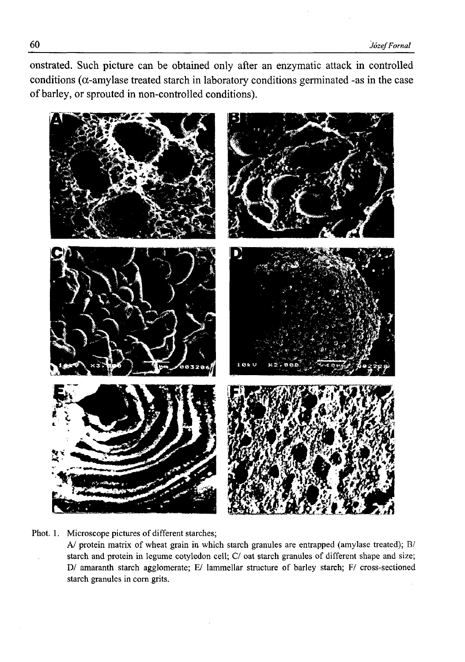onstrated. Such picture can be obtained only after an enzymatic attack in controlled conditions ( $\alpha$ -amylase treated starch in laboratory conditions germinated -as in the case of barley, or sprouted in non-controlled conditions).



Phot. 1. Microscope pictures of different starches;

A/ protein matrix of wheat grain in which starch granules are entrapped (amylase treated); B/ starch and protein in legume cotyledon cell; *C*/ oat starch granules of different shape and size; D/ amaranth starch agglomerate; E/ lammellar structure of barley starch; F/ cross-sectioned starch granules in com grits.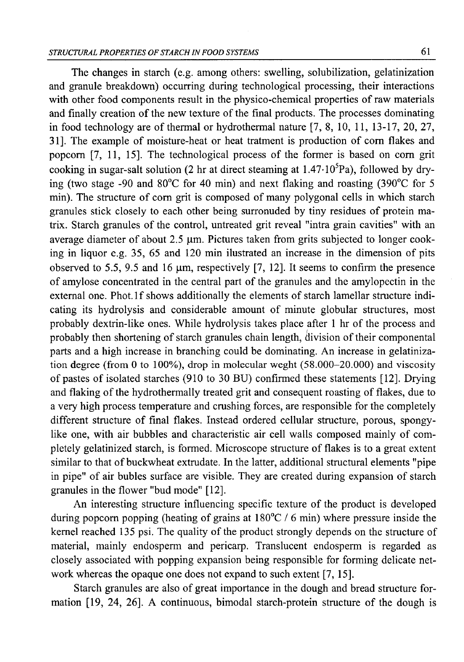The changes in starch (e.g. among others: swelling, solubilization, gelatinization and granule breakdown) occurring during technological processing, their interactions with other food components result in the physico-chemical properties of raw materials and finally creation of the new texture of the final products. The processes dominating in food technology are of thermal or hydrothermal nature [7, 8, 10, 11, 13-17, 20, 27, 31]. The example of moisture-heat or heat tratment is production of com flakes and popcorn [7, 11, 15]. The technological process of the former is based on com grit cooking in sugar-salt solution (2 hr at direct steaming at  $1.47 \cdot 10^{5}$ Pa), followed by drying (two stage -90 and 80°C for 40 min) and next flaking and roasting (390°C for 5 min). The structure of com grit is composed of many polygonal cells in which starch granules stick closely to each other being surronuded by tiny residues of protein matrix. Starch granules of the control, untreated grit reveal "intra grain cavities" with an average diameter of about  $2.5 \mu m$ . Pictures taken from grits subjected to longer cooking in liquor e.g. 35, 65 and 120 min ilustrated an increase in the dimension of pits observed to 5.5, 9.5 and 16  $\mu$ m, respectively [7, 12]. It seems to confirm the presence of amylose concentrated in the central part of the granules and the amylopectin in the external one. Phot.1f shows additionally the elements of starch lamellar structure indicating its hydrolysis and considerable amount of minute globular structures, most probably dextrin-like ones. While hydrolysis takes place after 1 hr of the process and probably then shortening of starch granules chain length, division of their componental parts and a high increase in branching could be dominating. An increase in gelatinization degree (from 0 to 100%), drop in molecular weght (58.000-20.000) and viscosity of pastes of isolated starches (910 to 30 BU) confirmed these statements [12]. Drying and flaking of the hydrothermally treated grit and consequent roasting of flakes, due to a very high process temperature and crushing forces, are responsible for the completely different structure of final flakes. Instead ordered cellular structure, porous, spongylike one, with air bubbles and characteristic air cell walls composed mainly of completely gelatinized starch, is formed. Microscope structure of flakes is to a great extent similar to that of buckwheat extrudate. In the latter, additional structural elements "pipe in pipe" of air bubles surface are visible. They are created during expansion of starch granules in the flower "bud mode" [12].

An interesting structure influencing specific texture of the product is developed during popcorn popping (heating of grains at 180°C / 6 min) where pressure inside the kernel reached 135 psi. The quality of the product strongly depends on the structure of material, mainly endosperm and pericarp. Translucent endosperm is regarded as closely associated with popping expansion being responsible for forming delicate network whereas the opaque one does not expand to such extent [7, 15].

Starch granules are also of great importance in the dough and bread structure formation [19, 24, 26]. A continuous, bimodal starch-protein structure of the dough is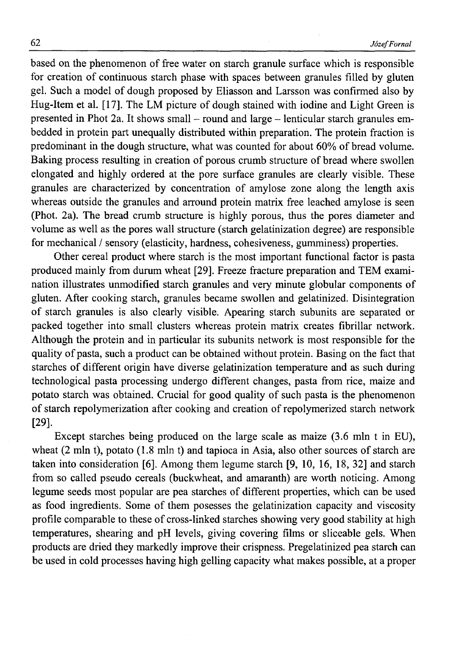based on the phenomenon of free water on starch granule surface which is responsible for creation of continuous starch phase with spaces between granules filled by gluten gel. Such a model of dough proposed by Eliasson and Larsson was confirmed also by Hug-Item et al. [17]. The LM picture of dough stained with iodine and Light Green is presented in Phot 2a. It shows small - round and large - lenticular starch granules embedded in protein part unequally distributed within preparation. The protein fraction is predominant in the dough structure, what was counted for about 60% of bread volume. Baking process resulting in creation of porous crumb structure of bread where swollen elongated and highly ordered at the pore surface granules are clearly visible. These granules are characterized by concentration of amylose zone along the length axis whereas outside the granules and arround protein matrix free leached amylose is seen (Phot. 2a). The bread crumb structure is highly porous, thus the pores diameter and volume as well as the pores wall structure (starch gelatinization degree) are responsible for mechanical / sensory (elasticity, hardness, cohesiveness, gumminess) properties.

Other cereal product where starch is the most important functional factor is pasta produced mainly from durum wheat [29]. Freeze fracture preparation and TEM examination illustrates unmodified starch granules and very minute globular components of gluten. After cooking starch, granules became swollen and gelatinized. Disintegration of starch granules is also clearly visible. Apearing starch subunits are separated or packed together into small clusters whereas protein matrix creates fibrillar network. Although the protein and in particular its subunits network is most responsible for the quality of pasta, such a product can be obtained without protein. Basing on the fact that starches of different origin have diverse gelatinization temperature and as such during technological pasta processing undergo different changes, pasta from rice, maize and potato starch was obtained. Crucial for good quality of such pasta is the phenomenon of starch repolymerization after cooking and creation of repolymerized starch network [29].

Except starches being produced on the large scale as maize (3.6 mln t in EU), wheat (2 mln t), potato (1.8 mln t) and tapioca in Asia, also other sources of starch are taken into consideration [6], Among them legume starch [9, 10, 16, 18, 32] and starch from so called pseudo cereals (buckwheat, and amaranth) are worth noticing. Among legume seeds most popular are pea starches of different properties, which can be used as food ingredients. Some of them posesses the gelatinization capacity and viscosity profile comparable to these of cross-linked starches showing very good stability at high temperatures, shearing and pH levels, giving covering films or sliceable gels. When products are dried they markedly improve their crispness. Pregelatinized pea starch can be used in cold processes having high gelling capacity what makes possible, at a proper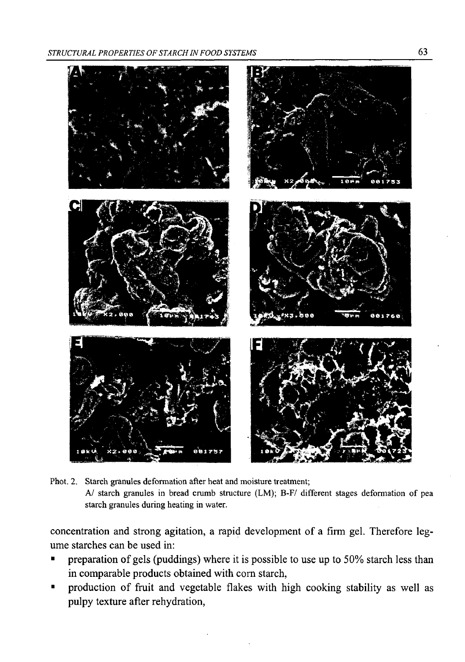

Phot. 2. Starch granules deformation after heat and moisture treatment; A/ starch granules in bread crumb structure (LM); B-F/ different stages deformation of pea starch granules during heating in water.

concentration and strong agitation, a rapid development of a firm gel. Therefore legume starches can be used in:

- preparation of gels (puddings) where it is possible to use up to  $50\%$  starch less than in comparable products obtained with com starch,
- production of fruit and vegetable flakes with high cooking stability as well as pulpy texture after rehydration,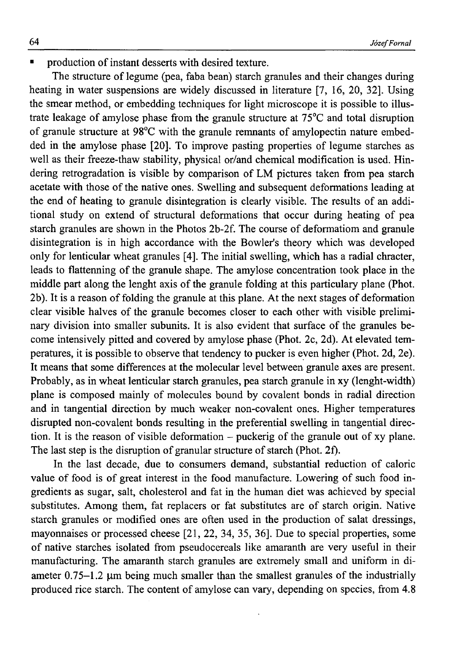production of instant desserts with desired texture.

The structure of legume (pea, faba bean) starch granules and their changes during heating in water suspensions are widely discussed in literature [7, 16, 20, 32]. Using the smear method, or embedding techniques for light microscope it is possible to illustrate leakage of amylose phase from the granule structure at 75°C and total disruption of granule structure at 98°C with the granule remnants of amylopectin nature embedded in the amylose phase [20]. To improve pasting properties of legume starches as well as their freeze-thaw stability, physical or/and chemical modification is used. Hindering retrogradation is visible by comparison of LM pictures taken from pea starch acetate with those of the native ones. Swelling and subsequent deformations leading at the end of heating to granule disintegration is clearly visible. The results of an additional study on extend of structural deformations that occur during heating of pea starch granules are shown in the Photos 2b-2f. The course of deformatiom and granule disintegration is in high accordance with the Bowler's theory which was developed only for lenticular wheat granules [4]. The initial swelling, which has a radial chracter, leads to flattenning of the granule shape. The amylose concentration took place in the middle part along the lenght axis of the granule folding at this particulary plane (Phot. 2b). It is a reason of folding the granule at this plane. At the next stages of deformation clear visible halves of the granule becomes closer to each other with visible preliminary division into smaller subunits. It is also evident that surface of the granules become intensively pitted and covered by amylose phase (Phot. 2c, 2d). At elevated temperatures, it is possible to observe that tendency to pucker is even higher (Phot. 2d, 2e). It means that some differences at the molecular level between granule axes are present. Probably, as in wheat lenticular starch granules, pea starch granule in xy (lenght-width) plane is composed mainly of molecules bound by covalent bonds in radial direction and in tangential direction by much weaker non-covalent ones. Higher temperatures disrupted non-covalent bonds resulting in the preferential swelling in tangential direction. It is the reason of visible deformation - puckerig of the granule out of xy plane. The last step is the disruption of granular structure of starch (Phot. 2f).

In the last decade, due to consumers demand, substantial reduction of caloric value of food is of great interest in the food manufacture. Lowering of such food ingredients as sugar, salt, cholesterol and fat in the human diet was achieved by special substitutes. Among them, fat replacers or fat substitutes are of starch origin. Native starch granules or modified ones are often used in the production of salat dressings, mayonnaises or processed cheese [21, 22, 34, 35, 36]. Due to special properties, some of native starches isolated from pseudocereals like amaranth are very useful in their manufacturing. The amaranth starch granules are extremely small and uniform in diameter  $0.75-1.2$  µm being much smaller than the smallest granules of the industrially produced rice starch. The content of amylose can vary, depending on species, from 4.8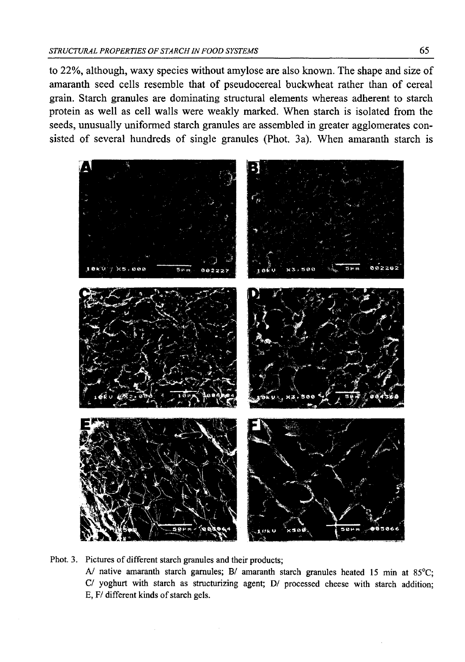to 22%, although, waxy species without amylose are also known. The shape and size of amaranth seed cells resemble that of pseudocereal buckwheat rather than of cereal grain. Starch granules are dominating structural elements whereas adherent to starch protein as well as cell walls were weakly marked. When starch is isolated from the seeds, unusually uniformed starch granules are assembled in greater agglomerates consisted of several hundreds of single granules (Phot. 3a). When amaranth starch is



Phot. 3. Pictures of different starch granules and their products; A/ native amaranth starch garnules; B/ amaranth starch granules heated 15 min at  $85^{\circ}$ C; C/ yoghurt with starch as structurizing agent; D/ processed cheese with starch addition; E, F/ different kinds of starch gels.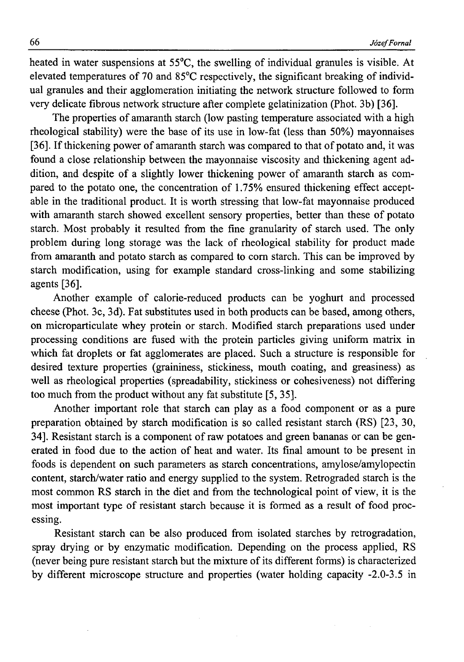heated in water suspensions at 55°C, the swelling of individual granules is visible. At elevated temperatures of 70 and 85°C respectively, the significant breaking of individual granules and their agglomeration initiating the network structure followed to form very delicate fibrous network structure after complete gelatinization (Phot. 3b) [36].

The properties of amaranth starch (low pasting temperature associated with a high rheological stability) were the base of its use in low-fat (less than 50%) mayonnaises [36]. If thickening power of amaranth starch was compared to that of potato and, it was found a close relationship between the mayonnaise viscosity and thickening agent addition, and despite of a slightly lower thickening power of amaranth starch as compared to the potato one, the concentration of 1.75% ensured thickening effect acceptable in the traditional product. It is worth stressing that low-fat mayonnaise produced with amaranth starch showed excellent sensory properties, better than these of potato starch. Most probably it resulted from the fine granularity of starch used. The only problem during long storage was the lack of rheological stability for product made from amaranth and potato starch as compared to com starch. This can be improved by starch modification, using for example standard cross-linking and some stabilizing agents [36].

Another example of calorie-reduced products can be yoghurt and processed cheese (Phot. 3c, 3d). Fat substitutes used in both products can be based, among others, on microparticulate whey protein or starch. Modified starch preparations used under processing conditions are fused with the protein particles giving uniform matrix in which fat droplets or fat agglomerates are placed. Such a structure is responsible for desired texture properties (graininess, stickiness, mouth coating, and greasiness) as well as rheological properties (spreadability, stickiness or cohesiveness) not differing too much from the product without any fat substitute [5, 35].

Another important role that starch can play as a food component or as a pure preparation obtained by starch modification is so called resistant starch (RS) [23, 30, 34]. Resistant starch is a component of raw potatoes and green bananas or can be generated in food due to the action of heat and water. Its final amount to be present in foods is dependent on such parameters as starch concentrations, amylose/amylopectin content, starch/water ratio and energy supplied to the system. Retrograded starch is the most common RS starch in the diet and from the technological point of view, it is the most important type of resistant starch because it is formed as a result of food processing.

Resistant starch can be also produced from isolated starches by retrogradation, spray drying or by enzymatic modification. Depending on the process applied, RS (never being pure resistant starch but the mixture of its different forms) is characterized by different microscope structure and properties (water holding capacity -2.0-3.5 in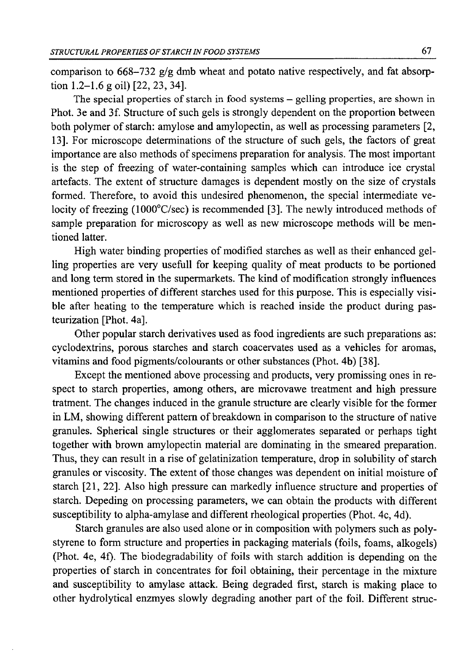comparison to 668-732 g/g dmb wheat and potato native respectively, and fat absorption 1.2–1.6 g oil)  $[22, 23, 34]$ .

The special properties of starch in food systems — gelling properties, are shown in Phot. 3e and 3f. Structure of such gels is strongly dependent on the proportion between both polymer of starch: amylose and amylopectin, as well as processing parameters [2, 13]. For microscope determinations of the structure of such gels, the factors of great importance are also methods of specimens preparation for analysis. The most important is the step of freezing of water-containing samples which can introduce ice crystal artefacts. The extent of structure damages is dependent mostly on the size of crystals formed. Therefore, to avoid this undesired phenomenon, the special intermediate velocity of freezing (1000°C/sec) is recommended [3]. The newly introduced methods of sample preparation for microscopy as well as new microscope methods will be mentioned latter.

High water binding properties of modified starches as well as their enhanced gelling properties are very usefull for keeping quality of meat products to be portioned and long term stored in the supermarkets. The kind of modification strongly influences mentioned properties of different starches used for this purpose. This is especially visible after heating to the temperature which is reached inside the product during pasteurization [Phot. 4a].

Other popular starch derivatives used as food ingredients are such preparations as: cyclodextrins, porous starches and starch coacervates used as a vehicles for aromas, vitamins and food pigments/colourants or other substances (Phot. 4b) [38].

Except the mentioned above processing and products, very promissing ones in respect to starch properties, among others, are microvawe treatment and high pressure tratment. The changes induced in the granule structure are clearly visible for the former in LM, showing different pattern of breakdown in comparison to the structure of native granules. Spherical single structures or their agglomerates separated or perhaps tight together with brown amylopectin material are dominating in the smeared preparation. Thus, they can result in a rise of gelatinization temperature, drop in solubility of starch granules or viscosity. The extent of those changes was dependent on initial moisture of starch [21, 22]. Also high pressure can markedly influence structure and properties of starch. Depeding on processing parameters, we can obtain the products with different susceptibility to alpha-amylase and different rheological properties (Phot. 4c, 4d).

Starch granules are also used alone or in composition with polymers such as polystyrene to form structure and properties in packaging materials (foils, foams, alkogels) (Phot. 4e, 4f). The biodegradability of foils with starch addition is depending on the properties of starch in concentrates for foil obtaining, their percentage in the mixture and susceptibility to amylase attack. Being degraded first, starch is making place to other hydrolytical enzmyes slowly degrading another part of the foil. Different struc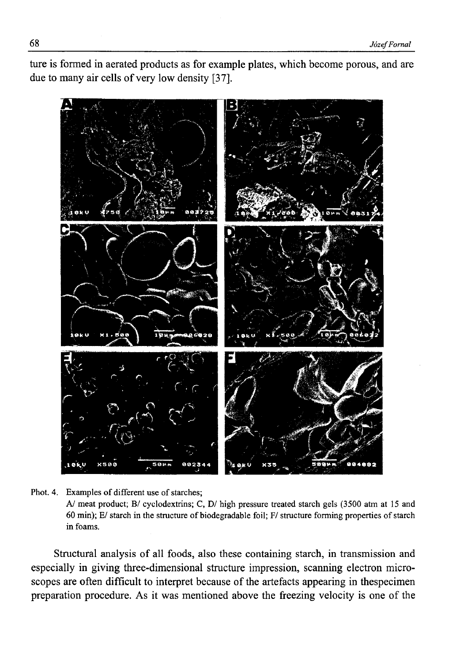ture is formed in aerated products as for example plates, which become porous, and are due to many air cells of very low density [37].



Phot. 4. Examples of different use of starches; *AJ* meat product; B/ cyclodextrins; C, D/ high pressure treated starch gels (3500 atm at 15 and 60 min); E/ starch in the structure of biodegradable foil; F/ structure forming properties of starch in foams.

Structural analysis of all foods, also these containing starch, in transmission and especially in giving three-dimensional structure impression, scanning electron microscopes are often difficult to interpret because of the artefacts appearing in thespecimen preparation procedure. As it was mentioned above the freezing velocity is one of the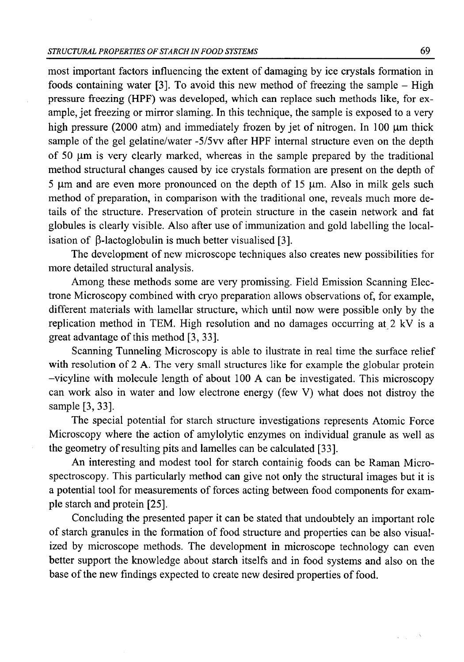most important factors influencing the extent of damaging by ice crystals formation in foods containing water  $[3]$ . To avoid this new method of freezing the sample – High pressure freezing (HPF) was developed, which can replace such methods like, for example, jet freezing or mirror slaming. In this technique, the sample is exposed to a very high pressure (2000 atm) and immediately frozen by jet of nitrogen. In 100  $\mu$ m thick sample of the gel gelatine/water -5/5vv after HPF internal structure even on the depth of 50  $\mu$ m is very clearly marked, whereas in the sample prepared by the traditional method structural changes caused by ice crystals formation are present on the depth of  $5 \text{ µm}$  and are even more pronounced on the depth of 15  $\mu$ m. Also in milk gels such method of preparation, in comparison with the traditional one, reveals much more details of the structure. Preservation of protein structure in the casein network and fat globules is clearly visible. Also after use of immunization and gold labelling the localisation of  $\beta$ -lactoglobulin is much better visualised [3].

The development of new microscope techniques also creates new possibilities for more detailed structural analysis.

Among these methods some are very promissing. Field Emission Scanning Electrone Microscopy combined with cryo preparation allows observations of, for example, different materials with lamellar structure, which until now were possible only by the replication method in TEM. High resolution and no damages occurring at 2 kV is a great advantage of this method [3, 33].

Scanning Tunneling Microscopy is able to ilustrate in real time the surface relief with resolution of 2 A. The very small structures like for example the globular protein -vicyline with molecule length of about 100 A can be investigated. This microscopy can work also in water and low electrone energy (few V) what does not distroy the sample [3, 33].

The special potential for starch structure investigations represents Atomic Force Microscopy where the action of amylolytic enzymes on individual granule as well as the geometry of resulting pits and lamelles can be calculated [33].

An interesting and modest tool for starch containig foods can be Raman Microspectroscopy. This particularly method can give not only the structural images but it is a potential tool for measurements of forces acting between food components for example starch and protein [25].

Concluding the presented paper it can be stated that undoubtely an important role of starch granules in the formation of food structure and properties can be also visualized by microscope methods. The development in microscope technology can even better support the knowledge about starch itselfs and in food systems and also on the base of the new findings expected to create new desired properties of food.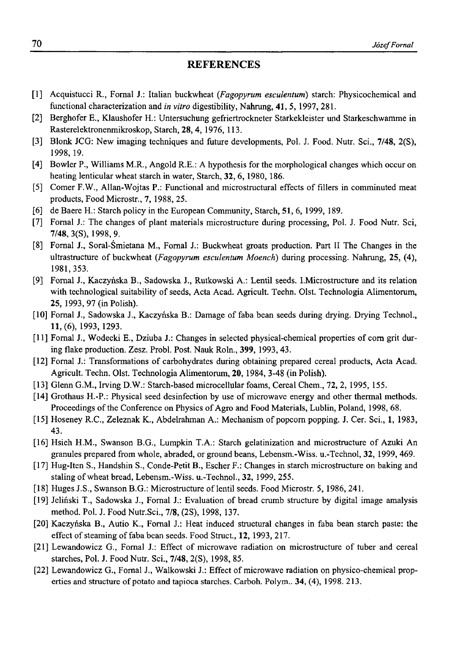### **REFERENCES**

- [1] Acquistucci R., Fornal J.: Italian buckwheat *(Fagopyrum esculentum)* starch: Physicochemical and functional characterization and *in vitro* digestibility, Nahrung, 41, 5, 1997,281.
- [2] Berghofer E., Klaushofer H.: Untersuchung gefriertrockneter Starkekleister und Starkeschwamme in Rasterelektronenmikroskop, Starch, 28, 4, 1976, 113.
- [3] Blonk JCG: New imaging techniques and future developments, Pol. J. Food. Nutr. Sci., 7/48, 2(S), 1998, 19.
- [4] Bowler P., Williams M.R., Angold R.E.: A hypothesis for the morphological changes which occur on heating lenticular wheat starch in water, Starch, 32, 6,1980, 186.
- [5] Comer F.W., Allan-Wojtas P.: Functional and microstructural effects of fillers in comminuted meat products, Food Microstr., 7, 1988, 25.
- [6] de Baere H.: Starch policy in the European Community, Starch, 51, 6, 1999, 189.
- [7] Fornal J.: The changes of plant materials microstructure during processing, Pol. J. Food Nutr. Sci, 7/48, 3(S), 1998, 9.
- [8] Fornal J., Soral-Śmietana M., Fornal J.: Buckwheat groats production. Part II The Changes in the ultrastructure of buckwheat *{Fagopyrum esculentum Moench*) during processing. Nahrung, 25, (4), 1981,353.
- [9] Fornal J., Kaczyńska B., Sadowska J., Rutkowski A.: Lentil seeds. I.Microstructure and its relation with technological suitability of seeds, Acta Acad. Agricult. Techn. Olst. Technologia Alimentorum, 25, 1993,97 (in Polish).
- [10] Fornal J., Sadowska J., Kaczyńska B.: Damage of faba bean seeds during drying. Drying Technol., 11, (6), 1993, 1293.
- [11] Fornal J., Wodecki E., Dziuba J.: Changes in selected physical-chemical properties of corn grit during flake production. Zesz. Probl. Post. Nauk Roln., 399, 1993,43.
- [12] Fornal J.: Transformations of carbohydrates during obtaining prepared cereal products, Acta Acad. Agricult. Techn. Olst. Technologia Alimentorum, 20,1984, 3-48 (in Polish).
- [13] Glenn G.M., Irving D.W.: Starch-based microcellular foams, Cereal Chem., 72, 2, 1995, 155.
- [14] Grothaus H.-P.: Physical seed desinfection by use of microwave energy and other thermal methods. Proceedings of the Conference on Physics of Agro and Food Materials, Lublin, Poland, 1998, 68.
- [15] Hoseney R.C., Zeleznak K., Abdelrahman A.: Mechanism of popcorn popping. J. Cer. Sci., 1, 1983, 43.
- [16] Hsieh H.M., Swanson B.G., Lumpkin T.A.: Starch gelatinization and microstructure of Azuki An granules prepared from whole, abraded, or ground beans, Lebensm.-Wiss. u.-Technol, 32, 1999, 469.
- [17] Hug-Iten S., Handshin S., Conde-Petit B., Escher F.: Changes in starch microstructure on baking and staling of wheat bread, Lebensm.-Wiss. u.-Technol., 32, 1999, 255.
- [18] Huges J.S., Swanson B.G.: Microstructure of lentil seeds. Food Microstr. 5, 1986, 241.
- [19] Jeliński T., Sadowska J., Fornal J.: Evaluation of bread crumb structure by digital image amalysis method. Pol. J. Food Nutr.Sci., 7/8, (2S), 1998, 137.
- [20] Kaczyńska B., Autio K., Fornal J.: Heat induced structural changes in faba bean starch paste: the effect of steaming of faba bean seeds. Food Struct., 12, 1993, 217.
- [21] Lewandowicz G., Fornal J.: Effect of microwave radiation on microstructure of tuber and cereal starches, Pol. J. Food Nutr. Sci., 7/48, 2(S), 1998, 85.
- [22] Lewandowicz G., Fomal J., Walkowski J.: Effect of microwave radiation on physico-chemical properties and structure of potato and tapioca starches. Carboh. Polym.. 34, (4), 1998. 213.